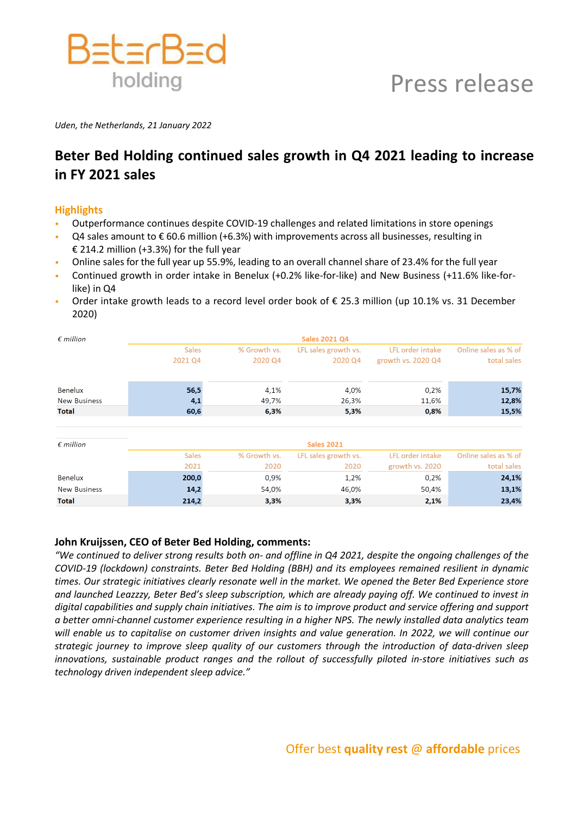

*Uden, the Netherlands, 21 January 2022*

# **Beter Bed Holding continued sales growth in Q4 2021 leading to increase in FY 2021 sales**

# **Highlights**

- Outperformance continues despite COVID-19 challenges and related limitations in store openings
- Q4 sales amount to  $\epsilon$  60.6 million (+6.3%) with improvements across all businesses, resulting in € 214.2 million (+3.3%) for the full year
- Online sales for the full year up 55.9%, leading to an overall channel share of 23.4% for the full year
- Continued growth in order intake in Benelux (+0.2% like-for-like) and New Business (+11.6% like-forlike) in Q4
- Order intake growth leads to a record level order book of  $\epsilon$  25.3 million (up 10.1% vs. 31 December 2020)

| $\epsilon$ million  | <b>Sales 2021 Q4</b> |              |                      |                    |                      |  |
|---------------------|----------------------|--------------|----------------------|--------------------|----------------------|--|
|                     | <b>Sales</b>         | % Growth vs. | LFL sales growth vs. | LFL order intake   | Online sales as % of |  |
|                     | 2021 Q4              | 2020 Q4      | 2020 Q4              | growth vs. 2020 Q4 | total sales          |  |
| Benelux             | 56,5                 | 4,1%         | 4,0%                 | 0,2%               | 15,7%                |  |
| <b>New Business</b> | 4,1                  | 49,7%        | 26,3%                | 11,6%              | 12,8%                |  |
| <b>Total</b>        | 60,6                 | 6,3%         | 5,3%                 | 0,8%               | 15,5%                |  |
|                     |                      |              |                      |                    |                      |  |
| $\epsilon$ million  | <b>Sales 2021</b>    |              |                      |                    |                      |  |
|                     | <b>Sales</b>         | % Growth vs. | LFL sales growth vs. | LFL order intake   | Online sales as % of |  |
|                     | 2021                 | 2020         | 2020                 | growth vs. 2020    | total sales          |  |
| Benelux             | 200,0                | 0,9%         | 1,2%                 | 0,2%               | 24,1%                |  |
| <b>New Business</b> | 14,2                 | 54,0%        | 46,0%                | 50,4%              | 13,1%                |  |
| <b>Total</b>        | 214.2                | 3.3%         | 3.3%                 | 2.1%               | 23.4%                |  |

## **John Kruijssen, CEO of Beter Bed Holding, comments:**

*"We continued to deliver strong results both on- and offline in Q4 2021, despite the ongoing challenges of the COVID-19 (lockdown) constraints. Beter Bed Holding (BBH) and its employees remained resilient in dynamic times. Our strategic initiatives clearly resonate well in the market. We opened the Beter Bed Experience store and launched Leazzzy, Beter Bed's sleep subscription, which are already paying off. We continued to invest in digital capabilities and supply chain initiatives. The aim is to improve product and service offering and support a better omni-channel customer experience resulting in a higher NPS. The newly installed data analytics team will enable us to capitalise on customer driven insights and value generation. In 2022, we will continue our strategic journey to improve sleep quality of our customers through the introduction of data-driven sleep innovations, sustainable product ranges and the rollout of successfully piloted in-store initiatives such as technology driven independent sleep advice."*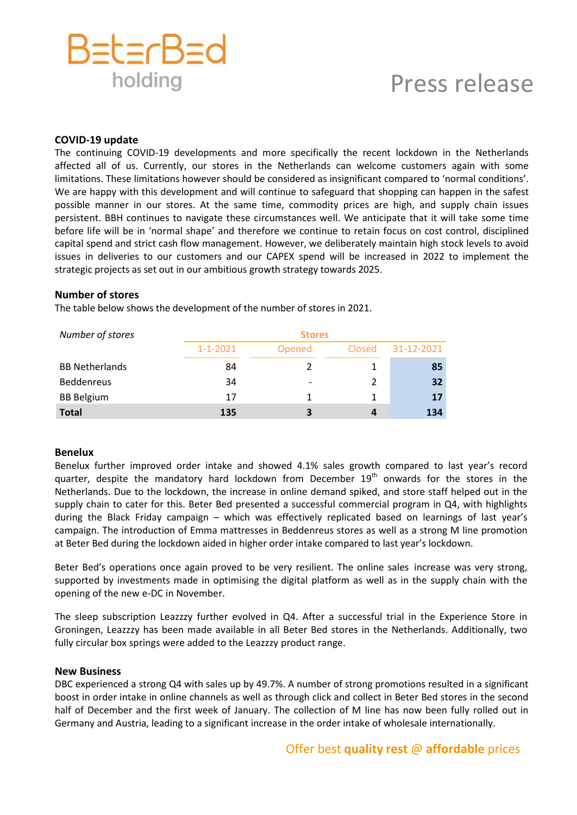

### **COVID-19 update**

The continuing COVID-19 developments and more specifically the recent lockdown in the Netherlands affected all of us. Currently, our stores in the Netherlands can welcome customers again with some limitations. These limitations however should be considered as insignificant compared to 'normal conditions'. We are happy with this development and will continue to safeguard that shopping can happen in the safest possible manner in our stores. At the same time, commodity prices are high, and supply chain issues persistent. BBH continues to navigate these circumstances well. We anticipate that it will take some time before life will be in 'normal shape' and therefore we continue to retain focus on cost control, disciplined capital spend and strict cash flow management. However, we deliberately maintain high stock levels to avoid issues in deliveries to our customers and our CAPEX spend will be increased in 2022 to implement the strategic projects as set out in our ambitious growth strategy towards 2025.

#### **Number of stores**

The table below shows the development of the number of stores in 2021.

| Number of stores      | <b>Stores</b>  |        |        |            |  |
|-----------------------|----------------|--------|--------|------------|--|
|                       | $1 - 1 - 2021$ | Opened | Closed | 31-12-2021 |  |
| <b>BB Netherlands</b> | 84             |        |        | 85         |  |
| Beddenreus            | 34             |        |        | 32         |  |
| <b>BB Belgium</b>     | 17             |        |        | 17         |  |
| <b>Total</b>          | 135            | 3      |        | 134        |  |

## **Benelux**

Benelux further improved order intake and showed 4.1% sales growth compared to last year's record quarter, despite the mandatory hard lockdown from December 19<sup>th</sup> onwards for the stores in the Netherlands. Due to the lockdown, the increase in online demand spiked, and store staff helped out in the supply chain to cater for this. Beter Bed presented a successful commercial program in Q4, with highlights during the Black Friday campaign – which was effectively replicated based on learnings of last year's campaign. The introduction of Emma mattresses in Beddenreus stores as well as a strong M line promotion at Beter Bed during the lockdown aided in higher order intake compared to last year's lockdown.

Beter Bed's operations once again proved to be very resilient. The online sales increase was very strong, supported by investments made in optimising the digital platform as well as in the supply chain with the opening of the new e-DC in November.

The sleep subscription Leazzzy further evolved in Q4. After a successful trial in the Experience Store in Groningen, Leazzzy has been made available in all Beter Bed stores in the Netherlands. Additionally, two fully circular box springs were added to the Leazzzy product range.

#### **New Business**

DBC experienced a strong Q4 with sales up by 49.7%. A number of strong promotions resulted in a significant boost in order intake in online channels as well as through click and collect in Beter Bed stores in the second half of December and the first week of January. The collection of M line has now been fully rolled out in Germany and Austria, leading to a significant increase in the order intake of wholesale internationally.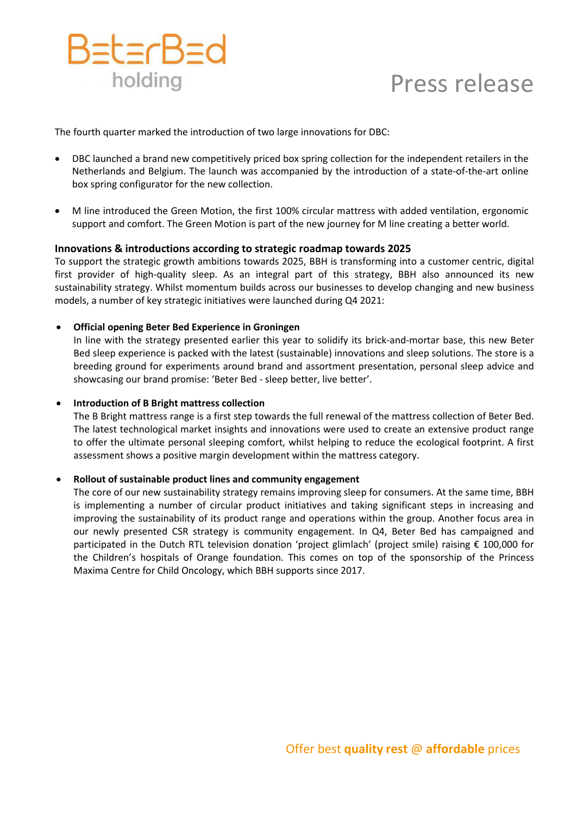

The fourth quarter marked the introduction of two large innovations for DBC:

- DBC launched a brand new competitively priced box spring collection for the independent retailers in the Netherlands and Belgium. The launch was accompanied by the introduction of a state-of-the-art online box spring configurator for the new collection.
- M line introduced the Green Motion, the first 100% circular mattress with added ventilation, ergonomic support and comfort. The Green Motion is part of the new journey for M line creating a better world.

# **Innovations & introductions according to strategic roadmap towards 2025**

To support the strategic growth ambitions towards 2025, BBH is transforming into a customer centric, digital first provider of high-quality sleep. As an integral part of this strategy, BBH also announced its new sustainability strategy. Whilst momentum builds across our businesses to develop changing and new business models, a number of key strategic initiatives were launched during Q4 2021:

# • **Official opening Beter Bed Experience in Groningen**

In line with the strategy presented earlier this year to solidify its brick-and-mortar base, this new Beter Bed sleep experience is packed with the latest (sustainable) innovations and sleep solutions. The store is a breeding ground for experiments around brand and assortment presentation, personal sleep advice and showcasing our brand promise: 'Beter Bed - sleep better, live better'.

## • **Introduction of B Bright mattress collection**

The B Bright mattress range is a first step towards the full renewal of the mattress collection of Beter Bed. The latest technological market insights and innovations were used to create an extensive product range to offer the ultimate personal sleeping comfort, whilst helping to reduce the ecological footprint. A first assessment shows a positive margin development within the mattress category.

## • **Rollout of sustainable product lines and community engagement**

The core of our new sustainability strategy remains improving sleep for consumers. At the same time, BBH is implementing a number of circular product initiatives and taking significant steps in increasing and improving the sustainability of its product range and operations within the group. Another focus area in our newly presented CSR strategy is community engagement. In Q4, Beter Bed has campaigned and participated in the Dutch RTL television donation 'project glimlach' (project smile) raising € 100,000 for the Children's hospitals of Orange foundation. This comes on top of the sponsorship of the Princess Maxima Centre for Child Oncology, which BBH supports since 2017.